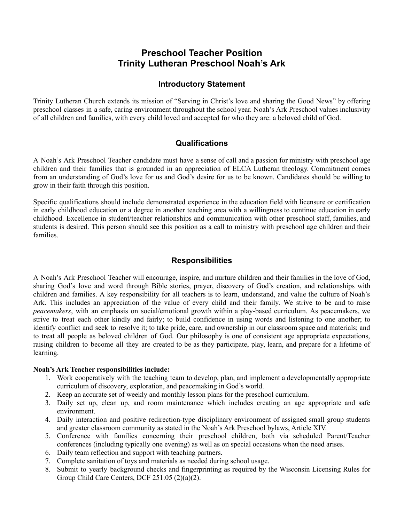# **Preschool Teacher Position Trinity Lutheran Preschool Noah's Ark**

### **Introductory Statement**

Trinity Lutheran Church extends its mission of "Serving in Christ's love and sharing the Good News" by offering preschool classes in a safe, caring environment throughout the school year. Noah's Ark Preschool values inclusivity of all children and families, with every child loved and accepted for who they are: a beloved child of God.

### **Qualifications**

A Noah's Ark Preschool Teacher candidate must have a sense of call and a passion for ministry with preschool age children and their families that is grounded in an appreciation of ELCA Lutheran theology. Commitment comes from an understanding of God's love for us and God's desire for us to be known. Candidates should be willing to grow in their faith through this position.

Specific qualifications should include demonstrated experience in the education field with licensure or certification in early childhood education or a degree in another teaching area with a willingness to continue education in early childhood. Excellence in student/teacher relationships and communication with other preschool staff, families, and students is desired. This person should see this position as a call to ministry with preschool age children and their families.

### **Responsibilities**

A Noah's Ark Preschool Teacher will encourage, inspire, and nurture children and their families in the love of God, sharing God's love and word through Bible stories, prayer, discovery of God's creation, and relationships with children and families. A key responsibility for all teachers is to learn, understand, and value the culture of Noah's Ark. This includes an appreciation of the value of every child and their family. We strive to be and to raise *peacemakers*, with an emphasis on social/emotional growth within a play-based curriculum. As peacemakers, we strive to treat each other kindly and fairly; to build confidence in using words and listening to one another; to identify conflict and seek to resolve it; to take pride, care, and ownership in our classroom space and materials; and to treat all people as beloved children of God. Our philosophy is one of consistent age appropriate expectations, raising children to become all they are created to be as they participate, play, learn, and prepare for a lifetime of learning.

#### **Noah's Ark Teacher responsibilities include:**

- 1. Work cooperatively with the teaching team to develop, plan, and implement a developmentally appropriate curriculum of discovery, exploration, and peacemaking in God's world.
- 2. Keep an accurate set of weekly and monthly lesson plans for the preschool curriculum.
- 3. Daily set up, clean up, and room maintenance which includes creating an age appropriate and safe environment.
- 4. Daily interaction and positive redirection-type disciplinary environment of assigned small group students and greater classroom community as stated in the Noah's Ark Preschool bylaws, Article XIV.
- 5. Conference with families concerning their preschool children, both via scheduled Parent/Teacher conferences (including typically one evening) as well as on special occasions when the need arises.
- 6. Daily team reflection and support with teaching partners.
- 7. Complete sanitation of toys and materials as needed during school usage.
- 8. Submit to yearly background checks and fingerprinting as required by the Wisconsin Licensing Rules for Group Child Care Centers, DCF 251.05 (2)(a)(2).